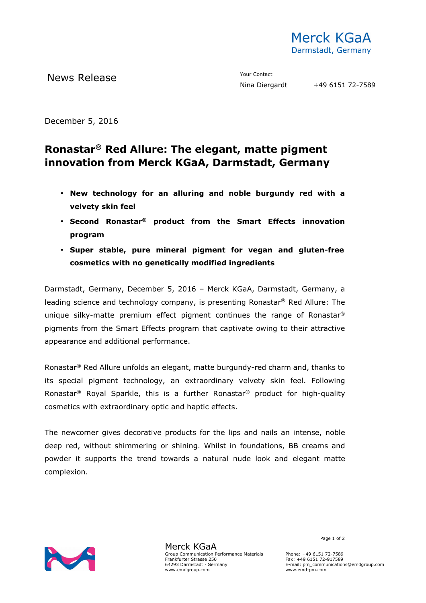

News Release The Contact Mews Release Contact Prour Contact Prour Contact Prour Contact Prour Contact Prour Contact Prour Contact Prour Contact Prour Contact Prour Contact Prour Contact Prour Contact Prour Contact Prour Co

December 5, 2016

## **Ronastar® Red Allure: The elegant, matte pigment innovation from Merck KGaA, Darmstadt, Germany**

- **New technology for an alluring and noble burgundy red with a velvety skin feel**
- **Second Ronastar® product from the Smart Effects innovation program**
- **Super stable, pure mineral pigment for vegan and gluten-free cosmetics with no genetically modified ingredients**

Darmstadt, Germany, December 5, 2016 – Merck KGaA, Darmstadt, Germany, a leading science and technology company, is presenting Ronastar® Red Allure: The unique silky-matte premium effect pigment continues the range of Ronastar® pigments from the Smart Effects program that captivate owing to their attractive appearance and additional performance.

Ronastar® Red Allure unfolds an elegant, matte burgundy-red charm and, thanks to its special pigment technology, an extraordinary velvety skin feel. Following Ronastar<sup>®</sup> Royal Sparkle, this is a further Ronastar<sup>®</sup> product for high-quality cosmetics with extraordinary optic and haptic effects.

The newcomer gives decorative products for the lips and nails an intense, noble deep red, without shimmering or shining. Whilst in foundations, BB creams and powder it supports the trend towards a natural nude look and elegant matte complexion.



Merck KGaA Group Communication Performance Materials Frankfurter Strasse 250 64293 Darmstadt · Germany www.emdgroup.com

Page 1 of 2

Phone: +49 6151 72-7589 Fax: +49 6151 72-917589 E-mail: pm\_communications@emdgroup.com www.emd-pm.com